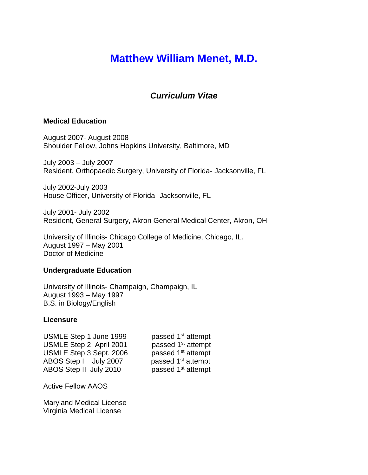# **Matthew William Menet, M.D.**

# *Curriculum Vitae*

#### **Medical Education**

August 2007- August 2008 Shoulder Fellow, Johns Hopkins University, Baltimore, MD

July 2003 – July 2007 Resident, Orthopaedic Surgery, University of Florida- Jacksonville, FL

July 2002-July 2003 House Officer, University of Florida- Jacksonville, FL

July 2001- July 2002 Resident, General Surgery, Akron General Medical Center, Akron, OH

University of Illinois- Chicago College of Medicine, Chicago, IL. August 1997 – May 2001 Doctor of Medicine

#### **Undergraduate Education**

University of Illinois- Champaign, Champaign, IL August 1993 – May 1997 B.S. in Biology/English

#### **Licensure**

USMLE Step 1 June 1999 passed 1<sup>st</sup> attempt USMLE Step 2 April 2001 passed 1<sup>st</sup> attempt USMLE Step 3 Sept. 2006 passed 1<sup>st</sup> attempt ABOS Step I July 2007 passed 1<sup>st</sup> attempt ABOS Step II July 2010 passed 1<sup>st</sup> attempt

Active Fellow AAOS

Maryland Medical License Virginia Medical License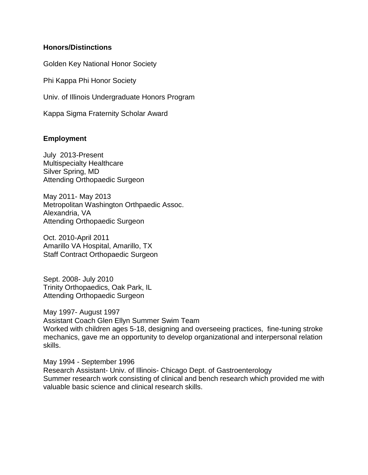# **Honors/Distinctions**

Golden Key National Honor Society

Phi Kappa Phi Honor Society

Univ. of Illinois Undergraduate Honors Program

Kappa Sigma Fraternity Scholar Award

# **Employment**

July 2013-Present Multispecialty Healthcare Silver Spring, MD Attending Orthopaedic Surgeon

May 2011- May 2013 Metropolitan Washington Orthpaedic Assoc. Alexandria, VA Attending Orthopaedic Surgeon

Oct. 2010-April 2011 Amarillo VA Hospital, Amarillo, TX Staff Contract Orthopaedic Surgeon

Sept. 2008- July 2010 Trinity Orthopaedics, Oak Park, IL Attending Orthopaedic Surgeon

May 1997- August 1997 Assistant Coach Glen Ellyn Summer Swim Team Worked with children ages 5-18, designing and overseeing practices, fine-tuning stroke mechanics, gave me an opportunity to develop organizational and interpersonal relation skills.

May 1994 - September 1996 Research Assistant- Univ. of Illinois- Chicago Dept. of Gastroenterology Summer research work consisting of clinical and bench research which provided me with valuable basic science and clinical research skills.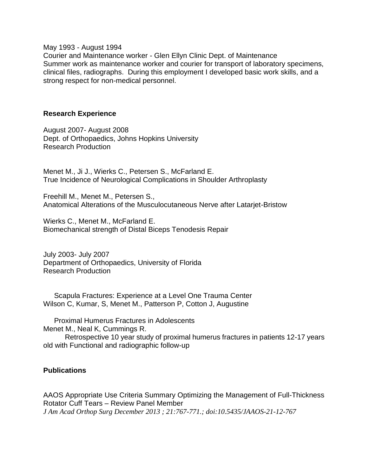May 1993 - August 1994

Courier and Maintenance worker - Glen Ellyn Clinic Dept. of Maintenance Summer work as maintenance worker and courier for transport of laboratory specimens, clinical files, radiographs. During this employment I developed basic work skills, and a strong respect for non-medical personnel.

#### **Research Experience**

August 2007- August 2008 Dept. of Orthopaedics, Johns Hopkins University Research Production

Menet M., Ji J., Wierks C., Petersen S., McFarland E. True Incidence of Neurological Complications in Shoulder Arthroplasty

Freehill M., Menet M., Petersen S., Anatomical Alterations of the Musculocutaneous Nerve after Latarjet-Bristow

Wierks C., Menet M., McFarland E. Biomechanical strength of Distal Biceps Tenodesis Repair

July 2003- July 2007 Department of Orthopaedics, University of Florida Research Production

Scapula Fractures: Experience at a Level One Trauma Center Wilson C, Kumar, S, Menet M., Patterson P, Cotton J, Augustine

Proximal Humerus Fractures in Adolescents Menet M., Neal K, Cummings R.

Retrospective 10 year study of proximal humerus fractures in patients 12-17 years old with Functional and radiographic follow-up

# **Publications**

AAOS Appropriate Use Criteria Summary Optimizing the Management of Full-Thickness Rotator Cuff Tears – Review Panel Member *J Am Acad Orthop Surg December 2013 ; 21:767-771.; doi:10.5435/JAAOS-21-12-767*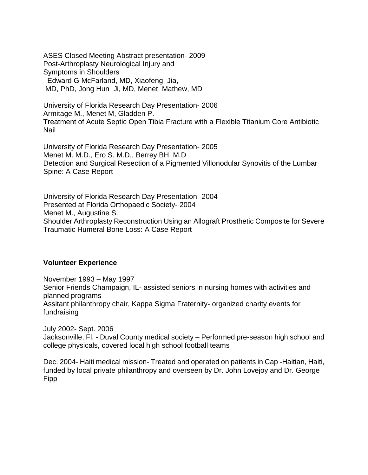ASES Closed Meeting Abstract presentation- 2009 Post-Arthroplasty Neurological Injury and Symptoms in Shoulders Edward G McFarland, MD, Xiaofeng Jia, MD, PhD, Jong Hun Ji, MD, Menet Mathew, MD

University of Florida Research Day Presentation- 2006 Armitage M., Menet M, Gladden P. Treatment of Acute Septic Open Tibia Fracture with a Flexible Titanium Core Antibiotic Nail

University of Florida Research Day Presentation- 2005 Menet M. M.D., Ero S. M.D., Berrey BH. M.D Detection and Surgical Resection of a Pigmented Villonodular Synovitis of the Lumbar Spine: A Case Report

University of Florida Research Day Presentation- 2004 Presented at Florida Orthopaedic Society- 2004 Menet M., Augustine S. Shoulder Arthroplasty Reconstruction Using an Allograft Prosthetic Composite for Severe Traumatic Humeral Bone Loss: A Case Report

# **Volunteer Experience**

November 1993 – May 1997 Senior Friends Champaign, IL- assisted seniors in nursing homes with activities and planned programs Assitant philanthropy chair, Kappa Sigma Fraternity- organized charity events for fundraising

July 2002- Sept. 2006 Jacksonville, Fl. - Duval County medical society – Performed pre-season high school and college physicals, covered local high school football teams

Dec. 2004- Haiti medical mission- Treated and operated on patients in Cap -Haitian, Haiti, funded by local private philanthropy and overseen by Dr. John Lovejoy and Dr. George Fipp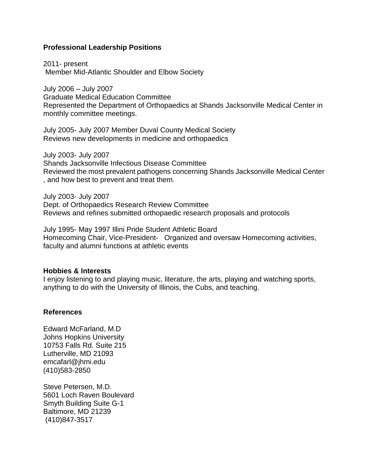### **Professional Leadership Positions**

2011- present Member Mid-Atlantic Shoulder and Elbow Society

July 2006 – July 2007 Graduate Medical Education Committee Represented the Department of Orthopaedics at Shands Jacksonville Medical Center in monthly committee meetings.

July 2005- July 2007 Member Duval County Medical Society Reviews new developments in medicine and orthopaedics

July 2003- July 2007 Shands Jacksonville Infectious Disease Committee Reviewed the most prevalent pathogens concerning Shands Jacksonville Medical Center , and how best to prevent and treat them.

July 2003- July 2007 Dept. of Orthopaedics Research Review Committee Reviews and refines submitted orthopaedic research proposals and protocols

July 1995- May 1997 Illini Pride Student Athletic Board Homecoming Chair, Vice-President- Organized and oversaw Homecoming activities, faculty and alumni functions at athletic events

#### **Hobbies & Interests**

I enjoy listening to and playing music, literature, the arts, playing and watching sports, anything to do with the University of Illinois, the Cubs, and teaching.

#### **References**

Edward McFarland, M.D Johns Hopkins University 10753 Falls Rd. Suite 215 Lutherville, MD 21093 emcafarl@jhmi.edu (410)583-2850

Steve Petersen, M.D. 5601 Loch Raven Boulevard Smyth Building Suite G-1 Baltimore, MD 21239 (410)847-3517